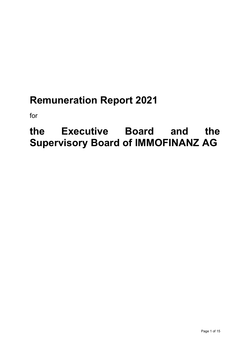# **Remuneration Report 2021**

for

# **the Executive Board and the Supervisory Board of IMMOFINANZ AG**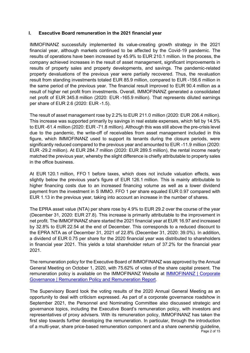## **I. Executive Board remuneration in the 2021 financial year**

IMMOFINANZ successfully implemented its value-creating growth strategy in the 2021 financial year, although markets continued to be affected by the Covid-19 pandemic. The results of operations have been increased by 45.9% to EUR 210.1 million. In the process, the company achieved increases in the result of asset management, significant improvements in results of property sales and property developments, and savings. The pandemic-related property devaluations of the previous year were partially recovered. Thus, the revaluation result from standing investments totaled EUR 85.9 million, compared to EUR -156.6 million in the same period of the previous year. The financial result improved to EUR 90.4 million as a result of higher net profit from investments. Overall, IMMOFINANZ generated a consolidated net profit of EUR 345.8 million (2020: EUR -165.9 million). That represents diluted earnings per share of EUR 2.6 (2020: EUR -1.5).

The result of asset management rose by 2.2% to EUR 211.0 million (2020: EUR 206.4 million). This increase was supported primarily by savings in real estate expenses, which fell by 14.5% to EUR -61.4 million (2020: EUR -71.8 million). Although this was still above the pre-crisis level due to the pandemic, the write-off of receivables from asset management included in this figure, which IMMOFINANZ used to support its tenants during the closure periods, were significantly reduced compared to the previous year and amounted to EUR -11.9 million (2020: EUR -29.2 million). At EUR 284.7 million (2020: EUR 289.5 million), the rental income nearly matched the previous year, whereby the slight difference is chiefly attributable to property sales in the office business.

At EUR 120.1 million, FFO 1 before taxes, which does not include valuation effects, was slightly below the previous year's figure of EUR 126.1 million. This is mainly attributable to higher financing costs due to an increased financing volume as well as a lower dividend payment from the investment in S IMMO. FFO 1 per share equaled EUR 0.97 compared with EUR 1.13 in the previous year, taking into account an increase in the number of shares.

The EPRA asset value (NTA) per share rose by 4.9% to EUR 29.2 over the course of the year (December 31, 2020: EUR 27.8). This increase is primarily attributable to the improvement in net profit. The IMMOFINANZ share started the 2021 financial year at EUR 16.97 and increased by 32.8% to EUR 22.54 at the end of December. This corresponds to a reduced discount to the EPRA NTA as of December 31, 2021 of 22.8% (December 31, 2020: 39.0%). In addition, a dividend of EUR 0.75 per share for the 2020 financial year was distributed to shareholders in financial year 2021. This yields a total shareholder return of 37.2% for the financial year 2021.

The remuneration policy for the Executive Board of IMMOFINANZ was approved by the Annual General Meeting on October 1, 2020, with 75.62% of votes of the share capital present. The remuneration policy is available on the IMMOFINANZ Website at [IMMOFINANZ](https://immofinanz.com/en/investor-relations/corporate-governance#remuneration-policy-report) | Corporate Governance [| Remuneration Policy and Remuneration Report.](https://immofinanz.com/en/investor-relations/corporate-governance#remuneration-policy-report)

Page 2 of 15 The Supervisory Board took the voting results of the 2020 Annual General Meeting as an opportunity to deal with criticism expressed. As part of a corporate governance roadshow in September 2021, the Personnel and Nominating Committee also discussed strategic and governance topics, including the Executive Board's remuneration policy, with investors and representatives of proxy advisers. With its remuneration policy, IMMOFINANZ has taken the first step towards further developing the remuneration. In particular, through the introduction of a multi-year, share price-based remuneration component and a share ownership guideline,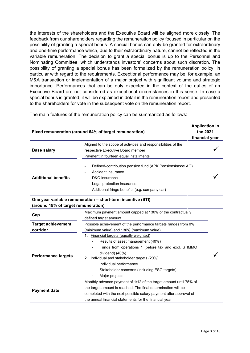the interests of the shareholders and the Executive Board will be aligned more closely. The feedback from our shareholders regarding the remuneration policy focused in particular on the possibility of granting a special bonus. A special bonus can only be granted for extraordinary and one-time performance which, due to their extraordinary nature, cannot be reflected in the variable remuneration. The decision to grant a special bonus is up to the Personnel and Nominating Committee, which understands investors' concerns about such discretion. The possibility of granting a special bonus has been formalized by the remuneration policy, in particular with regard to the requirements. Exceptional performance may be, for example, an M&A transaction or implementation of a major project with significant volume and strategic importance. Performances that can be duly expected in the context of the duties of an Executive Board are not considered as exceptional circumstances in this sense. In case a special bonus is granted, it will be explained in detail in the remuneration report and presented to the shareholders for vote in the subsequent vote on the remuneration report.

The main features of the remuneration policy can be summarized as follows:

|                                     |                                                                                                                                                                                                                                                                                                                                   | <b>Application in</b> |
|-------------------------------------|-----------------------------------------------------------------------------------------------------------------------------------------------------------------------------------------------------------------------------------------------------------------------------------------------------------------------------------|-----------------------|
|                                     | Fixed remuneration (around 64% of target remuneration)                                                                                                                                                                                                                                                                            | the 2021              |
|                                     |                                                                                                                                                                                                                                                                                                                                   | financial year        |
|                                     | Aligned to the scope of activities and responsibilities of the                                                                                                                                                                                                                                                                    |                       |
| <b>Base salary</b>                  | respective Executive Board member                                                                                                                                                                                                                                                                                                 |                       |
|                                     | Payment in fourteen equal installments                                                                                                                                                                                                                                                                                            |                       |
| <b>Additional benefits</b>          | Defined-contribution pension fund (APK Pensionskasse AG)<br>Accident insurance<br>D&O insurance<br>Legal protection insurance<br>Additional fringe benefits (e.g. company car)                                                                                                                                                    |                       |
| (around 18% of target remuneration) | One year variable remuneration - short-term incentive (STI)                                                                                                                                                                                                                                                                       |                       |
| Cap                                 | Maximum payment amount capped at 130% of the contractually<br>defined target amount                                                                                                                                                                                                                                               |                       |
| <b>Target achievement</b>           | Possible achievement of the performance targets ranges from 0%                                                                                                                                                                                                                                                                    |                       |
| corridor                            | (minimum value) and 130% (maximum value)                                                                                                                                                                                                                                                                                          |                       |
| <b>Performance targets</b>          | 1. Financial targets (equally weighted)<br>Results of asset management (40%)<br>Funds from operations 1 (before tax and excl. S IMMO<br>dividend) (40%)<br>Individual and stakeholder targets (20%)<br>2.<br>Individual performance<br>Stakeholder concerns (including ESG targets)<br>Major projects<br>$\overline{\phantom{a}}$ |                       |
| <b>Payment date</b>                 | Monthly advance payment of 1/12 of the target amount until 75% of<br>the target amount is reached. The final determination will be<br>completed with the next possible salary payment after approval of<br>the annual financial statements for the financial year                                                                 |                       |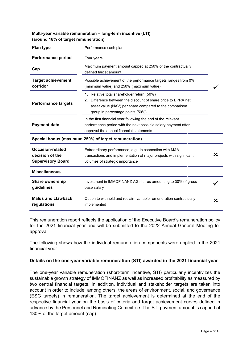**Multi-year variable remuneration – long-term incentive (LTI) (around 18% of target remuneration)**

| <b>Plan type</b>                                                | Performance cash plan                                                                                                                                                                                        |   |
|-----------------------------------------------------------------|--------------------------------------------------------------------------------------------------------------------------------------------------------------------------------------------------------------|---|
| <b>Performance period</b>                                       | Four years                                                                                                                                                                                                   |   |
| Cap                                                             | Maximum payment amount capped at 250% of the contractually<br>defined target amount                                                                                                                          |   |
| <b>Target achievement</b><br>corridor                           | Possible achievement of the performance targets ranges from 0%<br>(minimum value) and 250% (maximum value)                                                                                                   |   |
| <b>Performance targets</b>                                      | 1. Relative total shareholder return (50%)<br>Difference between the discount of share price to EPRA net<br>2.<br>asset value (NAV) per share compared to the comparison<br>group in percentage points (50%) |   |
| <b>Payment date</b>                                             | In the first financial year following the end of the relevant<br>performance period with the next possible salary payment after<br>approval the annual financial statements                                  |   |
|                                                                 | Special bonus (maximum 250% of target remuneration)                                                                                                                                                          |   |
| Occasion-related<br>decision of the<br><b>Supervisory Board</b> | Extraordinary performance, e.g., in connection with M&A<br>transactions and implementation of major projects with significant<br>volumes of strategic importance                                             | x |
| <b>Miscellaneous</b>                                            |                                                                                                                                                                                                              |   |
| Share ownership<br>guidelines                                   | Investment in IMMOFINANZ AG shares amounting to 30% of gross<br>base salary                                                                                                                                  |   |
| <b>Malus and clawback</b><br>regulations                        | Option to withhold and reclaim variable remuneration contractually<br>implemented                                                                                                                            | x |

This remuneration report reflects the application of the Executive Board's remuneration policy for the 2021 financial year and will be submitted to the 2022 Annual General Meeting for approval.

The following shows how the individual remuneration components were applied in the 2021 financial year.

### **Details on the one-year variable remuneration (STI) awarded in the 2021 financial year**

The one-year variable remuneration (short-term incentive, STI) particularly incentivizes the sustainable growth strategy of IMMOFINANZ as well as increased profitability as measured by two central financial targets. In addition, individual and stakeholder targets are taken into account in order to include, among others, the areas of environment, social, and governance (ESG targets) in remuneration. The target achievement is determined at the end of the respective financial year on the basis of criteria and target achievement curves defined in advance by the Personnel and Nominating Committee. The STI payment amount is capped at 130% of the target amount (cap).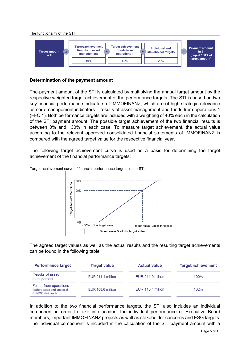

## **Determination of the payment amount**

The payment amount of the STI is calculated by multiplying the annual target amount by the respective weighted target achievement of the performance targets. The STI is based on two key financial performance indicators of IMMOFINANZ, which are of high strategic relevance as core management indicators – results of asset management and funds from operations 1 (FFO 1). Both performance targets are included with a weighting of 40% each in the calculation of the STI payment amount. The possible target achievement of the two financial results is between 0% and 130% in each case. To measure target achievement, the actual value according to the relevant approved consolidated financial statements of IMMOFINANZ is compared with the agreed target value for the respective financial year.

The following target achievement curve is used as a basis for determining the target achievement of the financial performance targets:



Target achievement curve of financial performance targets in the STI:

The agreed target values as well as the actual results and the resulting target achievements can be found in the following table:

| <b>Performance target</b>                                                  | <b>Target value</b> | <b>Actual value</b> | <b>Target achievement</b> |
|----------------------------------------------------------------------------|---------------------|---------------------|---------------------------|
| Results of asset<br>management                                             | EUR 211.1 million   | EUR 211.0 million   | 100%                      |
| Funds from operations 1<br>(before taxes and and excl.<br>S IMMO dividend) | EUR 108.6 million   | EUR 110.4 million   | 102%                      |

In addition to the two financial performance targets, the STI also includes an individual component in order to take into account the individual performance of Executive Board members, important IMMOFINANZ projects as well as stakeholder concerns and ESG targets. The individual component is included in the calculation of the STI payment amount with a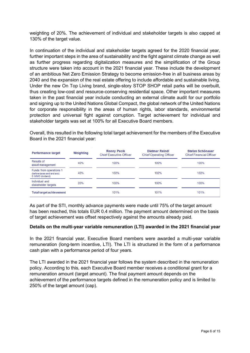weighting of 20%. The achievement of individual and stakeholder targets is also capped at 130% of the target value.

In continuation of the individual and stakeholder targets agreed for the 2020 financial year, further important steps in the area of sustainability and the fight against climate change as well as further progress regarding digitalization measures and the simplification of the Group structure were taken into account in the 2021 financial year. These include the development of an ambitious Net Zero Emission Strategy to become emission-free in all business areas by 2040 and the expansion of the real estate offering to include affordable and sustainable living. Under the new On Top Living brand, single-story STOP SHOP retail parks will be overbuilt, thus creating low-cost and resource-conserving residential space. Other important measures taken in the past financial year include conducting an external climate audit for our portfolio and signing up to the United Nations Global Compact, the global network of the United Nations for corporate responsibility in the areas of human rights, labor standards, environmental protection and universal fight against corruption. Target achievement for individual and stakeholder targets was set at 100% for all Executive Board members.

Overall, this resulted in the following total target achievement for the members of the Executive Board in the 2021 financial year:

| <b>Performance target</b>                                                  | Weighting | <b>Ronny Pecik</b><br><b>Chief Executive Officer</b> | <b>Dietmar Reindl</b><br><b>Chief Operating Officer</b> | Stefan Schönauer<br><b>Chief Financial Officer</b> |
|----------------------------------------------------------------------------|-----------|------------------------------------------------------|---------------------------------------------------------|----------------------------------------------------|
| Results of<br>asset management                                             | 40%       | 100%                                                 | 100%                                                    | 100%                                               |
| Funds from operations 1<br>(before taxes and and excl.<br>S IMMO dividend) | 40%       | 102%                                                 | 102%                                                    | 102%                                               |
| Individual and<br>stakeholder targets                                      | 20%       | 100%                                                 | 100%                                                    | 100%                                               |
| <b>Total target achievement</b>                                            |           | 101%                                                 | 101%                                                    | 101%                                               |

As part of the STI, monthly advance payments were made until 75% of the target amount has been reached, this totals EUR 0.4 million. The payment amount determined on the basis of target achievement was offset respectively against the amounts already paid.

## **Details on the multi-year variable remuneration (LTI) awarded in the 2021 financial year**

In the 2021 financial year, Executive Board members were awarded a multi-year variable remuneration (long-term incentive, LTI). The LTI is structured in the form of a performance cash plan with a performance period of four years.

The LTI awarded in the 2021 financial year follows the system described in the remuneration policy. According to this, each Executive Board member receives a conditional grant for a remuneration amount (target amount). The final payment amount depends on the achievement of the performance targets defined in the remuneration policy and is limited to 250% of the target amount (cap).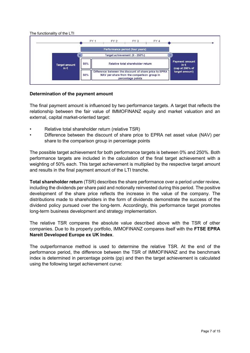

## **Determination of the payment amount**

The final payment amount is influenced by two performance targets. A target that reflects the relationship between the fair value of IMMOFINANZ equity and market valuation and an external, capital market-oriented target:

- Relative total shareholder return (relative TSR)
- Difference between the discount of share price to EPRA net asset value (NAV) per share to the comparison group in percentage points

The possible target achievement for both performance targets is between 0% and 250%. Both performance targets are included in the calculation of the final target achievement with a weighting of 50% each. This target achievement is multiplied by the respective target amount and results in the final payment amount of the LTI tranche.

**Total shareholder return** (TSR) describes the share performance over a period under review, including the dividends per share paid and notionally reinvested during this period. The positive development of the share price reflects the increase in the value of the company. The distributions made to shareholders in the form of dividends demonstrate the success of the dividend policy pursued over the long-term. Accordingly, this performance target promotes long-term business development and strategy implementation.

The relative TSR compares the absolute value described above with the TSR of other companies. Due to its property portfolio, IMMOFINANZ compares itself with the **FTSE EPRA Nareit Developed Europe ex UK Index**.

The outperformance method is used to determine the relative TSR. At the end of the performance period, the difference between the TSR of IMMOFINANZ and the benchmark index is determined in percentage points (pp) and then the target achievement is calculated using the following target achievement curve: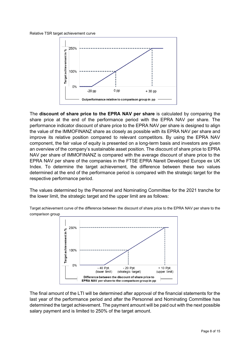#### Relative TSR target achievement curve



The **discount of share price to the EPRA NAV per share** is calculated by comparing the share price at the end of the performance period with the EPRA NAV per share. The performance indicator discount of share price to the EPRA NAV per share is designed to align the value of the IMMOFINANZ share as closely as possible with its EPRA NAV per share and improve its relative position compared to relevant competitors. By using the EPRA NAV component, the fair value of equity is presented on a long-term basis and investors are given an overview of the company's sustainable asset position. The discount of share price to EPRA NAV per share of IMMOFINANZ is compared with the average discount of share price to the EPRA NAV per share of the companies in the FTSE EPRA Nareit Developed Europe ex UK Index. To determine the target achievement, the difference between these two values determined at the end of the performance period is compared with the strategic target for the respective performance period.

The values determined by the Personnel and Nominating Committee for the 2021 tranche for the lower limit, the strategic target and the upper limit are as follows:

Target achievement curve of the difference between the discount of share price to the EPRA NAV per share to the comparison group



The final amount of the LTI will be determined after approval of the financial statements for the last year of the performance period and after the Personnel and Nominating Committee has determined the target achievement. The payment amount will be paid out with the next possible salary payment and is limited to 250% of the target amount.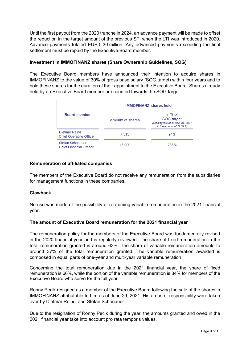Until the first payout from the 2020 tranche in 2024, an advance payment will be made to offset the reduction in the target amount of the previous STI when the LTI was introduced in 2020. Advance payments totaled EUR 0.30 million. Any advanced payments exceeding the final settlement must be repaid by the Executive Board member.

## **Investment in IMMOFINANZ shares (Share Ownership Guidelines, SOG)**

The Executive Board members have announced their intention to acquire shares in IMMOFINANZ to the value of 30% of gross base salary (SOG target) within four years and to hold these shares for the duration of their appointment to the Executive Board. Shares already held by an Executive Board member are counted towards the SOG target.

|                                                    | <b>IMMOFINANZ shares held</b> |                                                                                                |  |  |  |
|----------------------------------------------------|-------------------------------|------------------------------------------------------------------------------------------------|--|--|--|
| <b>Board member</b>                                | Amount of shares              | in $%$ of<br>SOG target<br>(Closing rate as of Dec. 31, 2021<br>in the amount of 22.54 $\in$ ) |  |  |  |
| Dietmar Reindl<br><b>Chief Operating Officer</b>   | 7.515                         | 94%                                                                                            |  |  |  |
| Stefan Schönauer<br><b>Chief Financial Officer</b> | 15,000                        | 235%                                                                                           |  |  |  |

### **Remuneration of affiliated companies**

The members of the Executive Board do not receive any remuneration from the subsidiaries for management functions in these companies.

## **Clawback**

No use was made of the possibility of reclaiming variable remuneration in the 2021 financial year.

## **The amount of Executive Board remuneration for the 2021 financial year**

The remuneration policy for the members of the Executive Board was fundamentally revised in the 2020 financial year and is regularly reviewed. The share of fixed remuneration in the total remuneration granted is around 63%. The share of variable remuneration amounts to around 37% of the total remuneration granted. The variable remuneration awarded is composed in equal parts of one-year and multi-year variable remuneration.

Concerning the total remuneration due in the 2021 financial year, the share of fixed remuneration is 66%, while the portion of the variable remuneration is 34% for members of the Executive Board who serve for the full year.

Ronny Pecik resigned as a member of the Executive Board following the sale of the shares in IMMOFINANZ attributable to him as of June 29, 2021. His areas of responsibility were taken over by Dietmar Reindl and Stefan Schönauer.

Due to the resignation of Ronny Pecik during the year, the amounts granted and owed in the 2021 financial year take into account pro rata temporis values.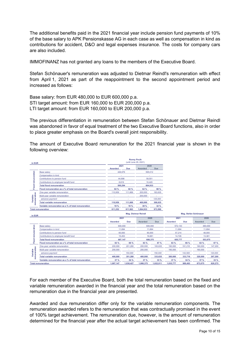The additional benefits paid in the 2021 financial year include pension fund payments of 10% of the base salary to APK Pensionskasse AG in each case as well as compensation in kind as contributions for accident, D&O and legal expenses insurance. The costs for company cars are also included.

IMMOFINANZ has not granted any loans to the members of the Executive Board.

Stefan Schönauer's remuneration was adjusted to Dietmar Reindl's remuneration with effect from April 1, 2021 as part of the reappointment to the second appointment period and increased as follows:

Base salary: from EUR 480,000 to EUR 600,000 p.a. STI target amount: from EUR 160,000 to EUR 200,000 p.a. LTI target amount: from EUR 160,000 to EUR 200,000 p.a.

The previous differentiation in remuneration between Stefan Schönauer and Dietmar Reindl was abandoned in favor of equal treatment of the two Executive Board functions, also in order to place greater emphasis on the Board's overall joint responsibility.

The amount of Executive Board remuneration for the 2021 financial year is shown in the following overview:

| in EUR       |                                                    | <b>Ronny Pecik</b><br>(until June 29, 2021) |            |           |            |  |
|--------------|----------------------------------------------------|---------------------------------------------|------------|-----------|------------|--|
|              |                                                    | 2021                                        |            | 2020      |            |  |
|              |                                                    | Awarded                                     | <b>Due</b> | Awarded   | <b>Due</b> |  |
|              | <b>Base salary</b>                                 | 446.976                                     |            | 595.012   |            |  |
|              | Compensation in kind                               |                                             |            |           |            |  |
| remuneration | Contributions to pension fund                      | 44.698                                      |            | 59.501    |            |  |
|              | Contributions to employee benefit fund             | 8.619<br>10.420                             |            |           |            |  |
| Fixed        | <b>Total fixed remuneration</b>                    | 500,294                                     |            |           | 664.933    |  |
|              | Fixed remuneration as a % of total remuneration    | 82 %                                        | 82 %       | 62 %      | 68 %       |  |
|              | One-year variable remuneration                     | 110.959                                     | 111,669    | 200,000   | 183,635    |  |
|              | Multi-year variable remuneration                   |                                             | ٠          | 200,000   |            |  |
| Variable     | advance payment                                    |                                             | ٠          |           | 125,000    |  |
| remuneration | <b>Total variable remuneration</b>                 | 110,959                                     | 111,669    | 400.000   | 308,635    |  |
|              | Variable remuneration as a % of total remuneration | 18 %                                        | 18 %       | 38 %      | 32%        |  |
|              | <b>Total remuneration</b>                          | 611,252                                     | 611,963    | 1,064,933 | 973,569    |  |

| in EUR            |                                                    |           |            |           |            |           |            |         |         |
|-------------------|----------------------------------------------------|-----------|------------|-----------|------------|-----------|------------|---------|---------|
|                   |                                                    | 2021      |            | 2020      |            | 2021      |            | 2020    |         |
|                   |                                                    | Awarded   | <b>Due</b> | Awarded   | <b>Due</b> | Awarded   | <b>Due</b> | Awarded | Due     |
|                   | Base salary                                        | 600,000   |            |           | 600,000    | 572.143   |            | 480,000 |         |
|                   | Compensation in kind                               | 11.694    |            | 11.694    |            | 11.694    |            | 11.694  |         |
|                   | Contributions to pension fund                      | 60,000    |            | 60,000    |            | 57.214    |            | 48,000  |         |
|                   | Contributions to employee benefit fund             | 15.453    |            | 16.681    |            | 14.726    | 13.381     |         |         |
|                   | <b>Total fixed remuneration</b>                    | 687.147   |            | 688,375   |            | 655,777   |            | 553,075 |         |
| ш                 | Fixed remuneration as a % of total remuneration    | 63 %      | 66 %       | 63 %      | 67 %       | 63 %      | 66 %       | 63 %    | 67 %    |
| е                 | One-year variable remuneration                     | 200,000   | 201.280    | 200,000   | 183.635    | 190,000   | 191.216    | 160,000 | 147,200 |
| <b>B</b><br>ratic | Multi-year variable remuneration                   | 200,000   | ٠          | 200,000   | ۰          | 190,000   |            | 160,000 | ٠       |
| aria              | advance payment                                    |           | 150,000    | ٠         | 150,000    | ٠         | 142,500    | ۰       | 120,000 |
|                   | <b>Total variable remuneration</b>                 | 400.000   | 351.280    | 400.000   | 333.635    | 380,000   | 333.716    | 320,000 | 267,200 |
|                   | Variable remuneration as a % of total remuneration | 37%       | 34 %       | 37%       | 33%        | 37%       | 34%        | 37%     | 33%     |
|                   | <b>Total remuneration</b>                          | 1,087,147 | 1,038,427  | 1,088,375 | 1.022.011  | 1,035,777 | 989.493    | 873.075 | 820.275 |

For each member of the Executive Board, both the total remuneration based on the fixed and variable remuneration awarded in the financial year and the total remuneration based on the remuneration due in the financial year are presented.

Awarded and due remuneration differ only for the variable remuneration components. The remuneration awarded refers to the remuneration that was contractually promised in the event of 100% target achievement. The remuneration due, however, is the amount of remuneration determined for the financial year after the actual target achievement has been confirmed. The

**Mag. Stefan Schönauer**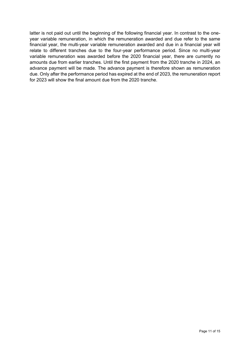latter is not paid out until the beginning of the following financial year. In contrast to the oneyear variable remuneration, in which the remuneration awarded and due refer to the same financial year, the multi-year variable remuneration awarded and due in a financial year will relate to different tranches due to the four-year performance period. Since no multi-year variable remuneration was awarded before the 2020 financial year, there are currently no amounts due from earlier tranches. Until the first payment from the 2020 tranche in 2024, an advance payment will be made. The advance payment is therefore shown as remuneration due. Only after the performance period has expired at the end of 2023, the remuneration report for 2023 will show the final amount due from the 2020 tranche.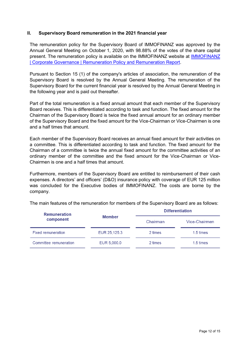## **II. Supervisory Board remuneration in the 2021 financial year**

The remuneration policy for the Supervisory Board of IMMOFINANZ was approved by the Annual General Meeting on October 1, 2020, with 98.88% of the votes of the share capital present. The remuneration policy is available on the IMMOFINANZ website at [IMMOFINANZ](https://immofinanz.com/en/investor-relations/corporate-governance#remuneration-policy-report)  [| Corporate Governance | Remuneration Policy and Remuneration Report.](https://immofinanz.com/en/investor-relations/corporate-governance#remuneration-policy-report)

Pursuant to Section 15 (1) of the company's articles of association, the remuneration of the Supervisory Board is resolved by the Annual General Meeting. The remuneration of the Supervisory Board for the current financial year is resolved by the Annual General Meeting in the following year and is paid out thereafter.

Part of the total remuneration is a fixed annual amount that each member of the Supervisory Board receives. This is differentiated according to task and function. The fixed amount for the Chairman of the Supervisory Board is twice the fixed annual amount for an ordinary member of the Supervisory Board and the fixed amount for the Vice-Chairman or Vice-Chairmen is one and a half times that amount.

Each member of the Supervisory Board receives an annual fixed amount for their activities on a committee. This is differentiated according to task and function. The fixed amount for the Chairman of a committee is twice the annual fixed amount for the committee activities of an ordinary member of the committee and the fixed amount for the Vice-Chairman or Vice-Chairmen is one and a half times that amount.

Furthermore, members of the Supervisory Board are entitled to reimbursement of their cash expenses. A directors' and officers' (D&O) insurance policy with coverage of EUR 125 million was concluded for the Executive bodies of IMMOFINANZ. The costs are borne by the company.

The main features of the remuneration for members of the Supervisory Board are as follows:

| <b>Remuneration</b>       |               | <b>Differentiation</b> |               |  |  |  |
|---------------------------|---------------|------------------------|---------------|--|--|--|
| component                 | <b>Member</b> | Chairman               | Vice-Chairmen |  |  |  |
| <b>Fixed remuneration</b> | EUR 25,125.3  | 2 times                | 1.5 times     |  |  |  |
| Committee remuneration    | EUR 5,000.0   | 2 times                | 1.5 times     |  |  |  |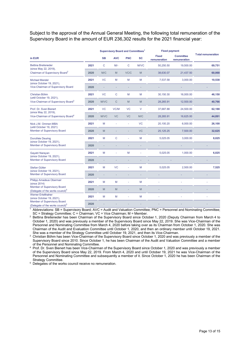Subject to the approval of the Annual General Meeting, the following total remuneration of the Supervisory Board in the amount of EUR 236,302 results for the 2021 financial year:

|                                                                              |      | <b>Supervisory Board and Committees<sup>1</sup></b> |            |                |             | <b>Fixed payment</b>         |                                  |                           |
|------------------------------------------------------------------------------|------|-----------------------------------------------------|------------|----------------|-------------|------------------------------|----------------------------------|---------------------------|
| in EUR                                                                       |      | <b>SB</b>                                           | <b>AVC</b> | <b>PNC</b>     | SC          | <b>Fixed</b><br>remuneration | <b>Committee</b><br>remuneration | <b>Total remuneration</b> |
| <b>Bettina Breiteneder</b>                                                   | 2021 | C                                                   | $M/-$      | C              | <b>M/VC</b> | 50,250.50                    | 19,500.00                        | 69,751                    |
| (since May 22, 2019),<br>Chairman of Supervisory Board <sup>2</sup>          | 2020 | M/C                                                 | M          | VC/C           | M           | 38,630.07                    | 21,437.50                        | 60,068                    |
| <b>Michael Mendel</b>                                                        | 2021 | <b>VC</b>                                           | M          | M              | M           | 7,537.58                     | 3,000.00                         | 10,538                    |
| (since October 19, 2021),<br>Vice-Chairman of Supervisory Board              | 2020 |                                                     |            |                |             |                              |                                  |                           |
| Christian Böhm                                                               | 2021 | <b>VC</b>                                           | C          | M              | M           | 30,150.30                    | 16,000.00                        | 46,150                    |
| (until October 19, 2021),<br>Vice-Chairman of Supervisory Board <sup>3</sup> | 2020 | <b>M/VC</b>                                         | C          | M              | M           | 28,265.91                    | 12,500.00                        | 40,766                    |
| Prof. Dr. Sven Bienert                                                       | 2021 | <b>VC</b>                                           | VC/M       | VC             | $\vee$      | 37,687.88                    | 24,500.00                        | 62,188                    |
| (since May 22, 2019),<br>Vice-Chairman of Supervisory Board <sup>4</sup>     | 2020 | <b>M/VC</b>                                         | <b>VC</b>  | <b>VC</b>      | M/C         | 28,265.91                    | 16,625.00                        | 44,891                    |
| Nick J.M. Ommen MBA                                                          | 2021 | M                                                   | ä,         | ä,             | <b>VC</b>   | 20,100.20                    | 6,000.00                         | 26,100                    |
| (until October 19, 2021)<br>Member of Supervisory Board                      | 2020 | M                                                   |            |                | <b>VC</b>   | 25,125.25                    | 7,500.00                         | 32,625                    |
| Dorothée Deuring                                                             | 2021 | M                                                   | C          | ä,             | M           | 5,025.05                     | 3,000.00                         | 8,025                     |
| (since October 19, 2021),<br>Member of Supervisory Board                     | 2020 |                                                     |            |                |             |                              |                                  |                           |
| Gayatri Narayan                                                              | 2021 | M                                                   | ä,         | M              |             | 5,025.05                     | 1,000.00                         | 6,025                     |
| (since October 19, 2021),<br>Member of Supervisory Board                     | 2020 |                                                     |            |                |             |                              |                                  |                           |
| Stefan Gütter                                                                | 2021 | M                                                   | <b>VC</b>  |                | M           | 5,025.05                     | 2,500.00                         | 7,525                     |
| (since October 19, 2021),<br>Member of Supervisory Board                     | 2020 |                                                     |            |                |             |                              |                                  |                           |
| Philipp Amadeus Obermair<br>(since 2014)                                     | 2021 | M                                                   | M          | ÷              | M           |                              |                                  |                           |
| Member of Supervisory Board<br>(Delegate of the works council) <sup>5</sup>  | 2020 | M                                                   | M          | $\overline{a}$ | M           |                              |                                  |                           |
| <b>Werner Ertelthalner</b><br>(since October 19, 2021),                      | 2021 | M                                                   | M          |                | M           |                              |                                  |                           |
| Member of Supervisory Board<br>(Delegate of the works council) <sup>5</sup>  | 2020 |                                                     |            |                |             |                              |                                  |                           |

<sup>1</sup> Abbreviations: SB = Supervisory Board; AVC = Audit and Valuation Committee; PNC = Personnel and Nominating Committee; SC = Strategy Committee; C = Chairman; VC = Vice Chairman; M = Member.

<sup>2</sup> Bettina Breiteneder has been Chairman of the Supervisory Board since October 1, 2020 (Deputy Chairman from March 4 to October 1, 2020) and was previously a member of the Supervisory Board since May 22, 2019. She was Vice-Chairman of the Personnel and Nominating Committee from March 4, 2020 before taking over as its Chairman from October 1, 2020. She was Chairman of the Audit and Evaluation Committee until October 1, 2020, and then an ordinary member until October 19, 2021. She was a member of the Strategy Committee until October 19, 2021, and then its Vice-Chairman.

<sup>3</sup> Christian Böhm has been Vice-Chairman of the Supervisory Board since October 1, 2020 and was previously a member of the Supervisory Board since 2010. Since October 1, he has been Chairman of the Audit and Valuation Committee and a member of the Personnel and Nominating Committee.

<sup>4</sup> Prof. Dr. Sven Bienert has been Vice-Chairman of the Supervisory Board since October 1, 2020 and was previously a member of the Supervisory Board since May 22, 2019. From March 4, 2020 and until October 19, 2021 he was Vice-Chairman of the Personnel and Nominating Committee and subsequently a member of it. Since October 1, 2020 he has been Chairman of the Strategy Committee.

<sup>5</sup> Delegates of the works council receive no remuneration.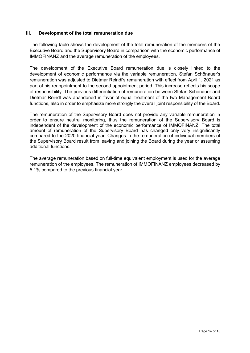## **III. Development of the total remuneration due**

The following table shows the development of the total remuneration of the members of the Executive Board and the Supervisory Board in comparison with the economic performance of IMMOFINANZ and the average remuneration of the employees.

The development of the Executive Board remuneration due is closely linked to the development of economic performance via the variable remuneration. Stefan Schönauer's remuneration was adjusted to Dietmar Reindl's remuneration with effect from April 1, 2021 as part of his reappointment to the second appointment period. This increase reflects his scope of responsibility. The previous differentiation of remuneration between Stefan Schönauer and Dietmar Reindl was abandoned in favor of equal treatment of the two Management Board functions, also in order to emphasize more strongly the overall joint responsibility of the Board.

The remuneration of the Supervisory Board does not provide any variable remuneration in order to ensure neutral monitoring, thus the remuneration of the Supervisory Board is independent of the development of the economic performance of IMMOFINANZ. The total amount of remuneration of the Supervisory Board has changed only very insignificantly compared to the 2020 financial year. Changes in the remuneration of individual members of the Supervisory Board result from leaving and joining the Board during the year or assuming additional functions.

The average remuneration based on full-time equivalent employment is used for the average remuneration of the employees. The remuneration of IMMOFINANZ employees decreased by 5.1% compared to the previous financial year.